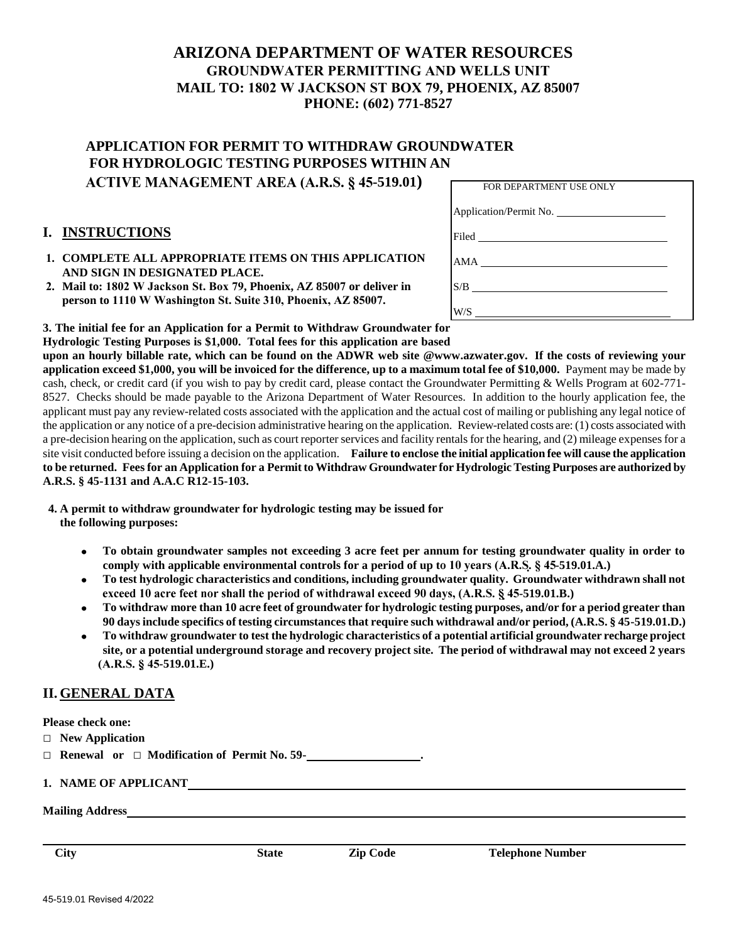# **ARIZONA DEPARTMENT OF WATER RESOURCES GROUNDWATER PERMITTING AND WELLS UNIT MAIL TO: 1802 W JACKSON ST BOX 79, PHOENIX, AZ 85007 PHONE: (602) 771-8527**

# **APPLICATION FOR PERMIT TO WITHDRAW GROUNDWATER FOR HYDROLOGIC TESTING PURPOSES WITHIN AN ACTIVE MANAGEMENT AREA (A.R.S. § 45-519.01)**

### **I. INSTRUCTIONS**

- **1. COMPLETE ALL APPROPRIATE ITEMS ON THIS APPLICATION AND SIGN IN DESIGNATED PLACE.**
- **2. Mail to: 1802 W Jackson St. Box 79, Phoenix, AZ 85007 or deliver in person to 1110 W Washington St. Suite 310, Phoenix, AZ 85007.**

| FOR DEPARTMENT USE ONLY |  |
|-------------------------|--|
| Application/Permit No.  |  |
| Filed <u>Filed</u>      |  |
| AMA                     |  |
| S/B                     |  |
| W/S                     |  |

**3. The initial fee for an Application for a Permit to Withdraw Groundwater for Hydrologic Testing Purposes is \$1,000. Total fees for this application are based**

**upon an hourly billable rate, which can be found on the ADWR web site @www.azwater.gov. If the costs of reviewing your application exceed \$1,000, you will be invoiced for the difference, up to a maximum total fee of \$10,000.** Payment may be made by cash, check, or credit card (if you wish to pay by credit card, please contact the Groundwater Permitting & Wells Program at 602-771- 8527. Checks should be made payable to the Arizona Department of Water Resources. In addition to the hourly application fee, the applicant must pay any review-related costs associated with the application and the actual cost of mailing or publishing any legal notice of the application or any notice of a pre-decision administrative hearing on the application. Review-related costs are: (1) costs associated with a pre-decision hearing on the application, such as court reporter services and facility rentals for the hearing, and (2) mileage expenses for a site visit conducted before issuing a decision on the application. **Failure to enclose the initial application fee will cause the application to be returned. Fees for an Application for a Permit to Withdraw Groundwater for Hydrologic Testing Purposes are authorized by A.R.S. § 45-1131 and A.A.C R12-15-103.**

- **4. A permit to withdraw groundwater for hydrologic testing may be issued for the following purposes:**
	- **To obtain groundwater samples not exceeding 3 acre feet per annum for testing groundwater quality in order to**   $\bullet$ comply with applicable environmental controls for a period of up to 10 years (A.R.S. § 45-519.01.A.)
	- **To test hydrologic characteristics and conditions, including groundwater quality. Groundwater withdrawn shall not**   $\bullet$ exceed 10 acre feet nor shall the period of withdrawal exceed 90 days, (A.R.S. § 45-519.01.B.)
	- **To withdraw more than 10 acre feet of groundwater for hydrologic testing purposes, and/or for a period greater than**   $\bullet$ **90 days include specifics of testing circumstances that require such withdrawal and/or period, (A.R.S. § 45-519.01.D.)**
	- **To withdraw groundwater to test the hydrologic characteristics of a potential artificial groundwater recharge project site, or a potential underground storage and recovery project site. The period of withdrawal may not exceed 2 years -519.01.E.)**

### **II. GENERAL DATA**

**Please check one:** 

- □ **New Application**
- □ **Renewal or** □ **Modification of Permit No. 59- .**

**1. NAME OF APPLICANT**

**Mailing Address**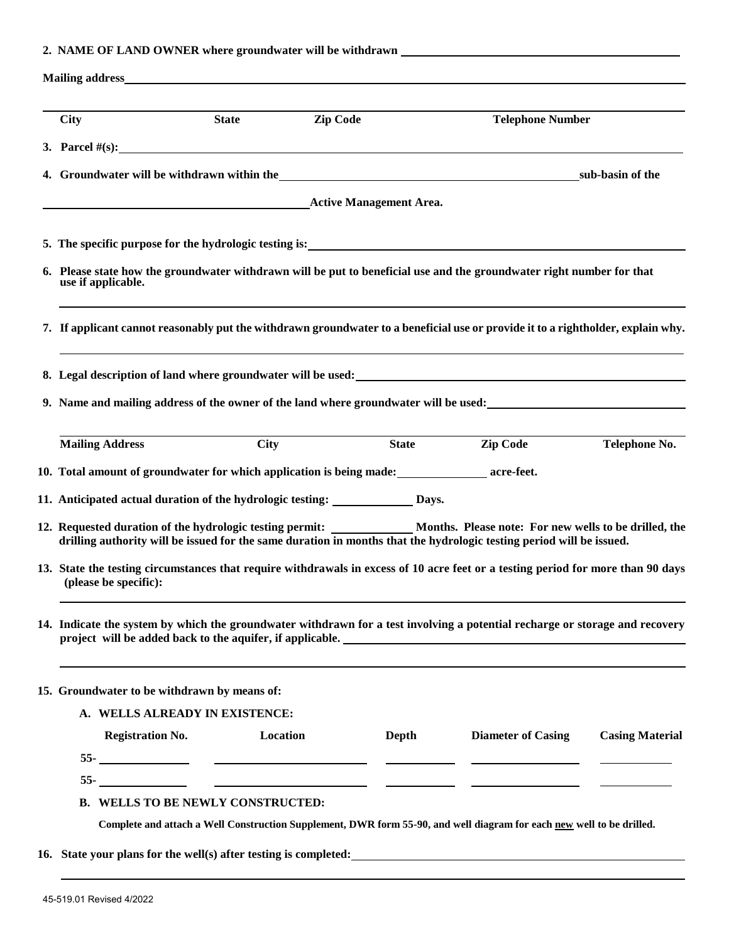## **2. NAME OF LAND OWNER where groundwater will be withdrawn**

|                                             |                                                                                                  |          |              | <b>Telephone Number</b>                                                                                                                                                                                                                              |                        |
|---------------------------------------------|--------------------------------------------------------------------------------------------------|----------|--------------|------------------------------------------------------------------------------------------------------------------------------------------------------------------------------------------------------------------------------------------------------|------------------------|
|                                             | 3. Parcel $\#(s)$ :                                                                              |          |              |                                                                                                                                                                                                                                                      |                        |
| 4. Groundwater will be withdrawn within the |                                                                                                  |          |              | _sub-basin of the                                                                                                                                                                                                                                    |                        |
|                                             | <b>Active Management Area.</b> Active Management Area.                                           |          |              |                                                                                                                                                                                                                                                      |                        |
|                                             |                                                                                                  |          |              |                                                                                                                                                                                                                                                      |                        |
| use if applicable.                          |                                                                                                  |          |              | 6. Please state how the groundwater withdrawn will be put to beneficial use and the groundwater right number for that                                                                                                                                |                        |
|                                             |                                                                                                  |          |              | 7. If applicant cannot reasonably put the withdrawn groundwater to a beneficial use or provide it to a rightholder, explain why.                                                                                                                     |                        |
|                                             |                                                                                                  |          |              |                                                                                                                                                                                                                                                      |                        |
|                                             |                                                                                                  |          |              | 9. Name and mailing address of the owner of the land where groundwater will be used:                                                                                                                                                                 |                        |
| <b>Mailing Address</b>                      | <b>City</b>                                                                                      |          | <b>State</b> | <b>Zip Code</b>                                                                                                                                                                                                                                      | Telephone No.          |
|                                             | 10. Total amount of groundwater for which application is being made: ________________ acre-feet. |          |              |                                                                                                                                                                                                                                                      |                        |
|                                             | 11. Anticipated actual duration of the hydrologic testing: _____________ Days.                   |          |              |                                                                                                                                                                                                                                                      |                        |
|                                             |                                                                                                  |          |              | 12. Requested duration of the hydrologic testing permit: _____________ Months. Please note: For new wells to be drilled, the<br>drilling authority will be issued for the same duration in months that the hydrologic testing period will be issued. |                        |
| (please be specific):                       |                                                                                                  |          |              | 13. State the testing circumstances that require withdrawals in excess of 10 acre feet or a testing period for more than 90 days                                                                                                                     |                        |
|                                             |                                                                                                  |          |              | 14. Indicate the system by which the groundwater withdrawn for a test involving a potential recharge or storage and recovery                                                                                                                         |                        |
|                                             | 15. Groundwater to be withdrawn by means of:                                                     |          |              |                                                                                                                                                                                                                                                      |                        |
|                                             | A. WELLS ALREADY IN EXISTENCE:                                                                   |          |              |                                                                                                                                                                                                                                                      |                        |
| <b>Registration No.</b>                     |                                                                                                  | Location | Depth        | <b>Diameter of Casing</b>                                                                                                                                                                                                                            | <b>Casing Material</b> |
|                                             |                                                                                                  |          |              |                                                                                                                                                                                                                                                      |                        |
|                                             |                                                                                                  |          |              |                                                                                                                                                                                                                                                      |                        |

45-519.01 Revised 4/2022